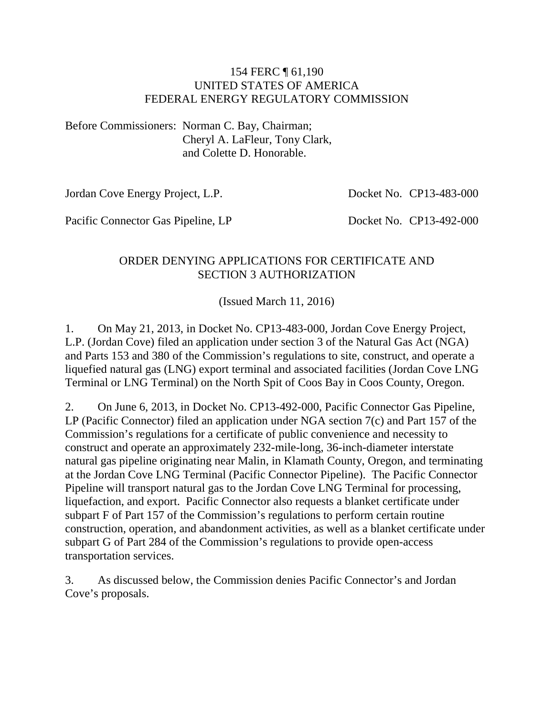#### 154 FERC ¶ 61,190 UNITED STATES OF AMERICA FEDERAL ENERGY REGULATORY COMMISSION

Before Commissioners: Norman C. Bay, Chairman; Cheryl A. LaFleur, Tony Clark, and Colette D. Honorable.

Jordan Cove Energy Project, L.P.

Docket No. CP13-483-000

Pacific Connector Gas Pipeline, LP

Docket No. CP13-492-000

### ORDER DENYING APPLICATIONS FOR CERTIFICATE AND SECTION 3 AUTHORIZATION

(Issued March 11, 2016)

1. On May 21, 2013, in Docket No. CP13-483-000, Jordan Cove Energy Project, L.P. (Jordan Cove) filed an application under section 3 of the Natural Gas Act (NGA) and Parts 153 and 380 of the Commission's regulations to site, construct, and operate a liquefied natural gas (LNG) export terminal and associated facilities (Jordan Cove LNG Terminal or LNG Terminal) on the North Spit of Coos Bay in Coos County, Oregon.

2. On June 6, 2013, in Docket No. CP13-492-000, Pacific Connector Gas Pipeline, LP (Pacific Connector) filed an application under NGA section 7(c) and Part 157 of the Commission's regulations for a certificate of public convenience and necessity to construct and operate an approximately 232-mile-long, 36-inch-diameter interstate natural gas pipeline originating near Malin, in Klamath County, Oregon, and terminating at the Jordan Cove LNG Terminal (Pacific Connector Pipeline). The Pacific Connector Pipeline will transport natural gas to the Jordan Cove LNG Terminal for processing, liquefaction, and export. Pacific Connector also requests a blanket certificate under subpart F of Part 157 of the Commission's regulations to perform certain routine construction, operation, and abandonment activities, as well as a blanket certificate under subpart G of Part 284 of the Commission's regulations to provide open-access transportation services.

3. As discussed below, the Commission denies Pacific Connector's and Jordan Cove's proposals.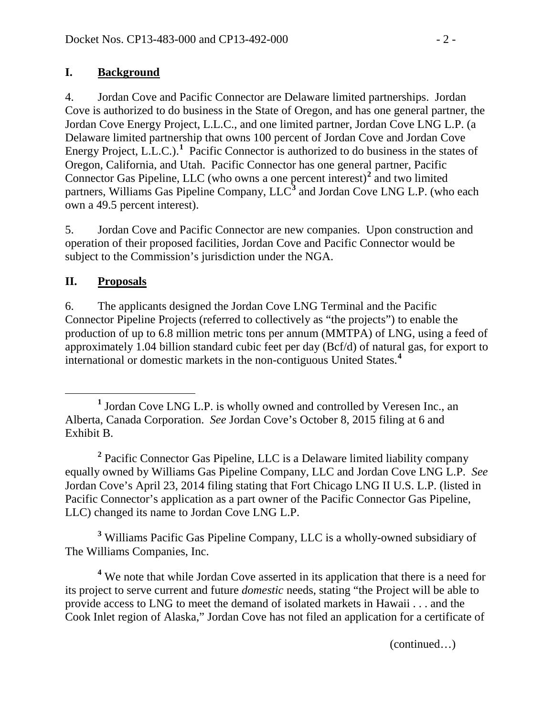## **I. Background**

4. Jordan Cove and Pacific Connector are Delaware limited partnerships. Jordan Cove is authorized to do business in the State of Oregon, and has one general partner, the Jordan Cove Energy Project, L.L.C., and one limited partner, Jordan Cove LNG L.P. (a Delaware limited partnership that owns 100 percent of Jordan Cove and Jordan Cove Energy Project, L.L.C.).<sup>[1](#page-1-0)</sup> Pacific Connector is authorized to do business in the states of Oregon, California, and Utah. Pacific Connector has one general partner, Pacific Connector Gas Pipeline, LLC (who owns a one percent interest)**[2](#page-1-1)** and two limited partners, Williams Gas Pipeline Company, LLC**[3](#page-1-2)** and Jordan Cove LNG L.P. (who each own a 49.5 percent interest).

5. Jordan Cove and Pacific Connector are new companies. Upon construction and operation of their proposed facilities, Jordan Cove and Pacific Connector would be subject to the Commission's jurisdiction under the NGA.

## **II. Proposals**

6. The applicants designed the Jordan Cove LNG Terminal and the Pacific Connector Pipeline Projects (referred to collectively as "the projects") to enable the production of up to 6.8 million metric tons per annum (MMTPA) of LNG, using a feed of approximately 1.04 billion standard cubic feet per day (Bcf/d) of natural gas, for export to international or domestic markets in the non-contiguous United States.**[4](#page-1-3)**

<span id="page-1-1"></span>**<sup>2</sup>** Pacific Connector Gas Pipeline, LLC is a Delaware limited liability company equally owned by Williams Gas Pipeline Company, LLC and Jordan Cove LNG L.P. *See*  Jordan Cove's April 23, 2014 filing stating that Fort Chicago LNG II U.S. L.P. (listed in Pacific Connector's application as a part owner of the Pacific Connector Gas Pipeline, LLC) changed its name to Jordan Cove LNG L.P.

<span id="page-1-2"></span>**<sup>3</sup>** Williams Pacific Gas Pipeline Company, LLC is a wholly-owned subsidiary of The Williams Companies, Inc.

<span id="page-1-3"></span>**<sup>4</sup>** We note that while Jordan Cove asserted in its application that there is a need for its project to serve current and future *domestic* needs, stating "the Project will be able to provide access to LNG to meet the demand of isolated markets in Hawaii . . . and the Cook Inlet region of Alaska," Jordan Cove has not filed an application for a certificate of

(continued…)

<span id="page-1-0"></span>**<sup>1</sup>** Jordan Cove LNG L.P. is wholly owned and controlled by Veresen Inc., an Alberta, Canada Corporation. *See* Jordan Cove's October 8, 2015 filing at 6 and Exhibit B.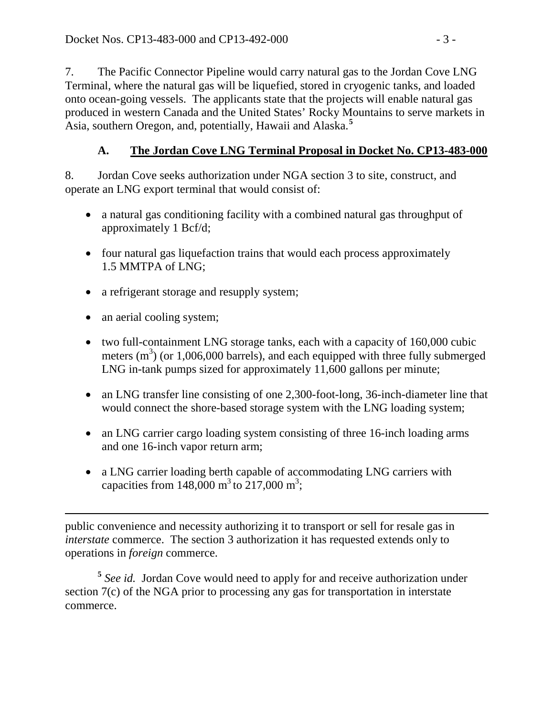7. The Pacific Connector Pipeline would carry natural gas to the Jordan Cove LNG Terminal, where the natural gas will be liquefied, stored in cryogenic tanks, and loaded onto ocean-going vessels. The applicants state that the projects will enable natural gas produced in western Canada and the United States' Rocky Mountains to serve markets in Asia, southern Oregon, and, potentially, Hawaii and Alaska.**[5](#page-2-0)**

# **A. The Jordan Cove LNG Terminal Proposal in Docket No. CP13-483-000**

8. Jordan Cove seeks authorization under NGA section 3 to site, construct, and operate an LNG export terminal that would consist of:

- a natural gas conditioning facility with a combined natural gas throughput of approximately 1 Bcf/d;
- four natural gas liquefaction trains that would each process approximately 1.5 MMTPA of LNG;
- a refrigerant storage and resupply system;
- an aerial cooling system;
- two full-containment LNG storage tanks, each with a capacity of 160,000 cubic meters  $(m<sup>3</sup>)$  (or 1,006,000 barrels), and each equipped with three fully submerged LNG in-tank pumps sized for approximately 11,600 gallons per minute;
- an LNG transfer line consisting of one 2,300-foot-long, 36-inch-diameter line that would connect the shore-based storage system with the LNG loading system;
- an LNG carrier cargo loading system consisting of three 16-inch loading arms and one 16-inch vapor return arm;
- a LNG carrier loading berth capable of accommodating LNG carriers with capacities from 148,000 m<sup>3</sup> to 217,000 m<sup>3</sup>;

 $\overline{a}$ public convenience and necessity authorizing it to transport or sell for resale gas in *interstate* commerce. The section 3 authorization it has requested extends only to operations in *foreign* commerce.

<span id="page-2-0"></span>**<sup>5</sup>** *See id.* Jordan Cove would need to apply for and receive authorization under section 7(c) of the NGA prior to processing any gas for transportation in interstate commerce.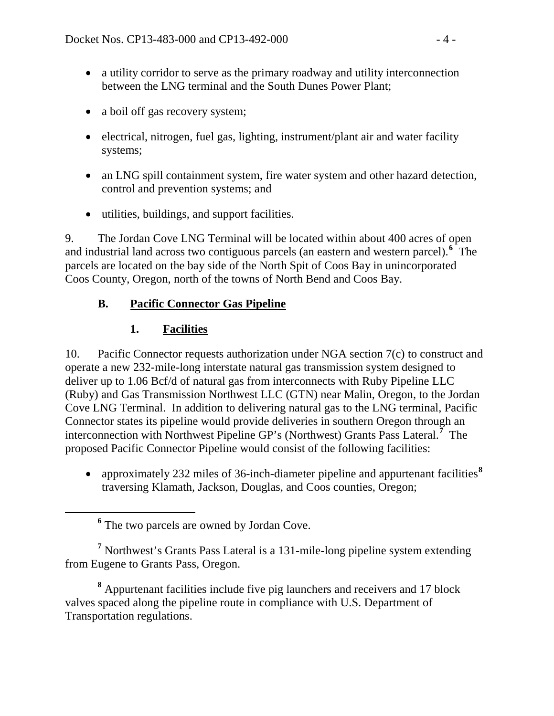- a utility corridor to serve as the primary roadway and utility interconnection between the LNG terminal and the South Dunes Power Plant;
- a boil off gas recovery system;
- electrical, nitrogen, fuel gas, lighting, instrument/plant air and water facility systems;
- an LNG spill containment system, fire water system and other hazard detection, control and prevention systems; and
- utilities, buildings, and support facilities.

9. The Jordan Cove LNG Terminal will be located within about 400 acres of open and industrial land across two contiguous parcels (an eastern and western parcel).**[6](#page-3-0)** The parcels are located on the bay side of the North Spit of Coos Bay in unincorporated Coos County, Oregon, north of the towns of North Bend and Coos Bay.

## **B. Pacific Connector Gas Pipeline**

## **1. Facilities**

10. Pacific Connector requests authorization under NGA section 7(c) to construct and operate a new 232-mile-long interstate natural gas transmission system designed to deliver up to 1.06 Bcf/d of natural gas from interconnects with Ruby Pipeline LLC (Ruby) and Gas Transmission Northwest LLC (GTN) near Malin, Oregon, to the Jordan Cove LNG Terminal. In addition to delivering natural gas to the LNG terminal, Pacific Connector states its pipeline would provide deliveries in southern Oregon through an interconnection with Northwest Pipeline GP's (Northwest) Grants Pass Lateral. **[7](#page-3-1)** The proposed Pacific Connector Pipeline would consist of the following facilities:

• approximately 232 miles of 36-inch-diameter pipeline and appurtenant facilities<sup>[8](#page-3-2)</sup> traversing Klamath, Jackson, Douglas, and Coos counties, Oregon;

<span id="page-3-1"></span><span id="page-3-0"></span>**<sup>7</sup>** Northwest's Grants Pass Lateral is a 131-mile-long pipeline system extending from Eugene to Grants Pass, Oregon.

<span id="page-3-2"></span>**<sup>8</sup>** Appurtenant facilities include five pig launchers and receivers and 17 block valves spaced along the pipeline route in compliance with U.S. Department of Transportation regulations.

**<sup>6</sup>** The two parcels are owned by Jordan Cove.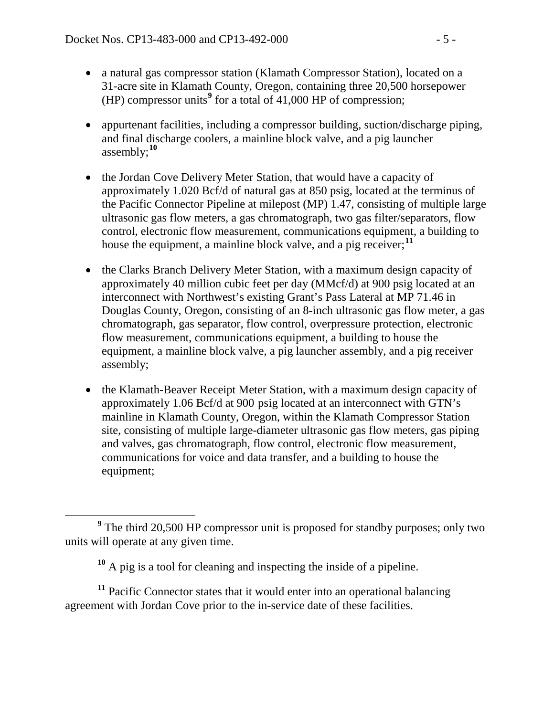- a natural gas compressor station (Klamath Compressor Station), located on a 31-acre site in Klamath County, Oregon, containing three 20,500 horsepower (HP) compressor units**[9](#page-4-0)** for a total of 41,000 HP of compression;
- appurtenant facilities, including a compressor building, suction/discharge piping, and final discharge coolers, a mainline block valve, and a pig launcher assembly;**[10](#page-4-1)**
- the Jordan Cove Delivery Meter Station, that would have a capacity of approximately 1.020 Bcf/d of natural gas at 850 psig, located at the terminus of the Pacific Connector Pipeline at milepost (MP) 1.47, consisting of multiple large ultrasonic gas flow meters, a gas chromatograph, two gas filter/separators, flow control, electronic flow measurement, communications equipment, a building to house the equipment, a mainline block valve, and a pig receiver;<sup>[11](#page-4-2)</sup>
- the Clarks Branch Delivery Meter Station, with a maximum design capacity of approximately 40 million cubic feet per day (MMcf/d) at 900 psig located at an interconnect with Northwest's existing Grant's Pass Lateral at MP 71.46 in Douglas County, Oregon, consisting of an 8-inch ultrasonic gas flow meter, a gas chromatograph, gas separator, flow control, overpressure protection, electronic flow measurement, communications equipment, a building to house the equipment, a mainline block valve, a pig launcher assembly, and a pig receiver assembly;
- the Klamath-Beaver Receipt Meter Station, with a maximum design capacity of approximately 1.06 Bcf/d at 900 psig located at an interconnect with GTN's mainline in Klamath County, Oregon, within the Klamath Compressor Station site, consisting of multiple large-diameter ultrasonic gas flow meters, gas piping and valves, gas chromatograph, flow control, electronic flow measurement, communications for voice and data transfer, and a building to house the equipment;

<span id="page-4-2"></span><span id="page-4-1"></span><sup>11</sup> Pacific Connector states that it would enter into an operational balancing agreement with Jordan Cove prior to the in-service date of these facilities.

<span id="page-4-0"></span>**<sup>9</sup>** The third 20,500 HP compressor unit is proposed for standby purposes; only two units will operate at any given time.

**<sup>10</sup>** A pig is a tool for cleaning and inspecting the inside of a pipeline.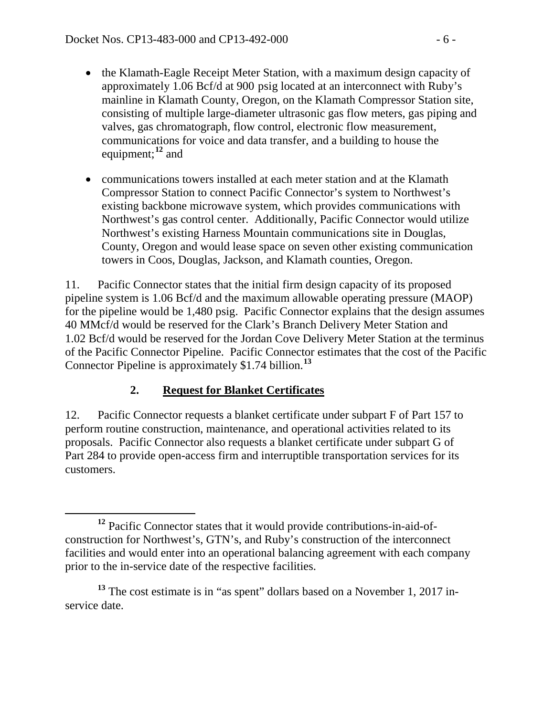- the Klamath-Eagle Receipt Meter Station, with a maximum design capacity of approximately 1.06 Bcf/d at 900 psig located at an interconnect with Ruby's mainline in Klamath County, Oregon, on the Klamath Compressor Station site, consisting of multiple large-diameter ultrasonic gas flow meters, gas piping and valves, gas chromatograph, flow control, electronic flow measurement, communications for voice and data transfer, and a building to house the equipment; **[12](#page-5-0)** and
- communications towers installed at each meter station and at the Klamath Compressor Station to connect Pacific Connector's system to Northwest's existing backbone microwave system, which provides communications with Northwest's gas control center. Additionally, Pacific Connector would utilize Northwest's existing Harness Mountain communications site in Douglas, County, Oregon and would lease space on seven other existing communication towers in Coos, Douglas, Jackson, and Klamath counties, Oregon.

11. Pacific Connector states that the initial firm design capacity of its proposed pipeline system is 1.06 Bcf/d and the maximum allowable operating pressure (MAOP) for the pipeline would be 1,480 psig. Pacific Connector explains that the design assumes 40 MMcf/d would be reserved for the Clark's Branch Delivery Meter Station and 1.02 Bcf/d would be reserved for the Jordan Cove Delivery Meter Station at the terminus of the Pacific Connector Pipeline. Pacific Connector estimates that the cost of the Pacific Connector Pipeline is approximately \$1.74 billion.**[13](#page-5-1)**

# **2. Request for Blanket Certificates**

12. Pacific Connector requests a blanket certificate under subpart F of Part 157 to perform routine construction, maintenance, and operational activities related to its proposals. Pacific Connector also requests a blanket certificate under subpart G of Part 284 to provide open-access firm and interruptible transportation services for its customers.

<span id="page-5-0"></span>**<sup>12</sup>** Pacific Connector states that it would provide contributions-in-aid-ofconstruction for Northwest's, GTN's, and Ruby's construction of the interconnect facilities and would enter into an operational balancing agreement with each company prior to the in-service date of the respective facilities.

<span id="page-5-1"></span><sup>&</sup>lt;sup>13</sup> The cost estimate is in "as spent" dollars based on a November 1, 2017 inservice date.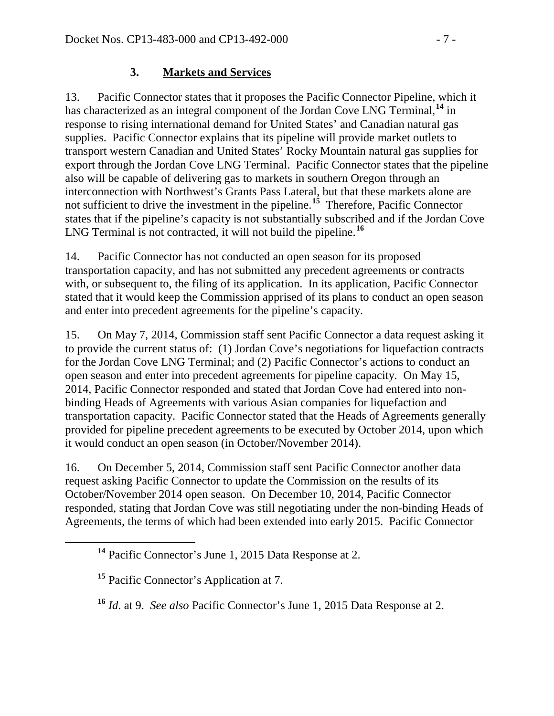## **3. Markets and Services**

13. Pacific Connector states that it proposes the Pacific Connector Pipeline, which it has characterized as an integral component of the Jordan Cove LNG Terminal, **[14](#page-6-0)** in response to rising international demand for United States' and Canadian natural gas supplies. Pacific Connector explains that its pipeline will provide market outlets to transport western Canadian and United States' Rocky Mountain natural gas supplies for export through the Jordan Cove LNG Terminal. Pacific Connector states that the pipeline also will be capable of delivering gas to markets in southern Oregon through an interconnection with Northwest's Grants Pass Lateral, but that these markets alone are not sufficient to drive the investment in the pipeline.<sup>[15](#page-6-1)</sup> Therefore, Pacific Connector states that if the pipeline's capacity is not substantially subscribed and if the Jordan Cove LNG Terminal is not contracted, it will not build the pipeline.<sup>[16](#page-6-2)</sup>

14. Pacific Connector has not conducted an open season for its proposed transportation capacity, and has not submitted any precedent agreements or contracts with, or subsequent to, the filing of its application. In its application, Pacific Connector stated that it would keep the Commission apprised of its plans to conduct an open season and enter into precedent agreements for the pipeline's capacity.

15. On May 7, 2014, Commission staff sent Pacific Connector a data request asking it to provide the current status of: (1) Jordan Cove's negotiations for liquefaction contracts for the Jordan Cove LNG Terminal; and (2) Pacific Connector's actions to conduct an open season and enter into precedent agreements for pipeline capacity. On May 15, 2014, Pacific Connector responded and stated that Jordan Cove had entered into nonbinding Heads of Agreements with various Asian companies for liquefaction and transportation capacity. Pacific Connector stated that the Heads of Agreements generally provided for pipeline precedent agreements to be executed by October 2014, upon which it would conduct an open season (in October/November 2014).

16. On December 5, 2014, Commission staff sent Pacific Connector another data request asking Pacific Connector to update the Commission on the results of its October/November 2014 open season. On December 10, 2014, Pacific Connector responded, stating that Jordan Cove was still negotiating under the non-binding Heads of Agreements, the terms of which had been extended into early 2015. Pacific Connector

<span id="page-6-0"></span>**<sup>14</sup>** Pacific Connector's June 1, 2015 Data Response at 2.

<span id="page-6-1"></span>**<sup>15</sup>** Pacific Connector's Application at 7.

<span id="page-6-2"></span>**<sup>16</sup>** *Id*. at 9. *See also* Pacific Connector's June 1, 2015 Data Response at 2.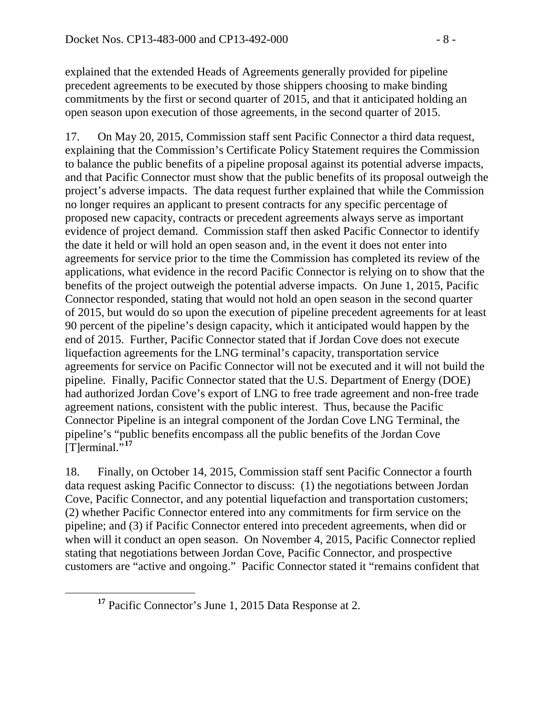explained that the extended Heads of Agreements generally provided for pipeline precedent agreements to be executed by those shippers choosing to make binding commitments by the first or second quarter of 2015, and that it anticipated holding an open season upon execution of those agreements, in the second quarter of 2015.

17. On May 20, 2015, Commission staff sent Pacific Connector a third data request, explaining that the Commission's Certificate Policy Statement requires the Commission to balance the public benefits of a pipeline proposal against its potential adverse impacts, and that Pacific Connector must show that the public benefits of its proposal outweigh the project's adverse impacts. The data request further explained that while the Commission no longer requires an applicant to present contracts for any specific percentage of proposed new capacity, contracts or precedent agreements always serve as important evidence of project demand. Commission staff then asked Pacific Connector to identify the date it held or will hold an open season and, in the event it does not enter into agreements for service prior to the time the Commission has completed its review of the applications, what evidence in the record Pacific Connector is relying on to show that the benefits of the project outweigh the potential adverse impacts. On June 1, 2015, Pacific Connector responded, stating that would not hold an open season in the second quarter of 2015, but would do so upon the execution of pipeline precedent agreements for at least 90 percent of the pipeline's design capacity, which it anticipated would happen by the end of 2015. Further, Pacific Connector stated that if Jordan Cove does not execute liquefaction agreements for the LNG terminal's capacity, transportation service agreements for service on Pacific Connector will not be executed and it will not build the pipeline. Finally, Pacific Connector stated that the U.S. Department of Energy (DOE) had authorized Jordan Cove's export of LNG to free trade agreement and non-free trade agreement nations, consistent with the public interest. Thus, because the Pacific Connector Pipeline is an integral component of the Jordan Cove LNG Terminal, the pipeline's "public benefits encompass all the public benefits of the Jordan Cove  $[T]$ erminal.<sup>5,[17](#page-7-0)</sup>

18. Finally, on October 14, 2015, Commission staff sent Pacific Connector a fourth data request asking Pacific Connector to discuss: (1) the negotiations between Jordan Cove, Pacific Connector, and any potential liquefaction and transportation customers; (2) whether Pacific Connector entered into any commitments for firm service on the pipeline; and (3) if Pacific Connector entered into precedent agreements, when did or when will it conduct an open season. On November 4, 2015, Pacific Connector replied stating that negotiations between Jordan Cove, Pacific Connector, and prospective customers are "active and ongoing." Pacific Connector stated it "remains confident that

<span id="page-7-0"></span>**<sup>17</sup>** Pacific Connector's June 1, 2015 Data Response at 2.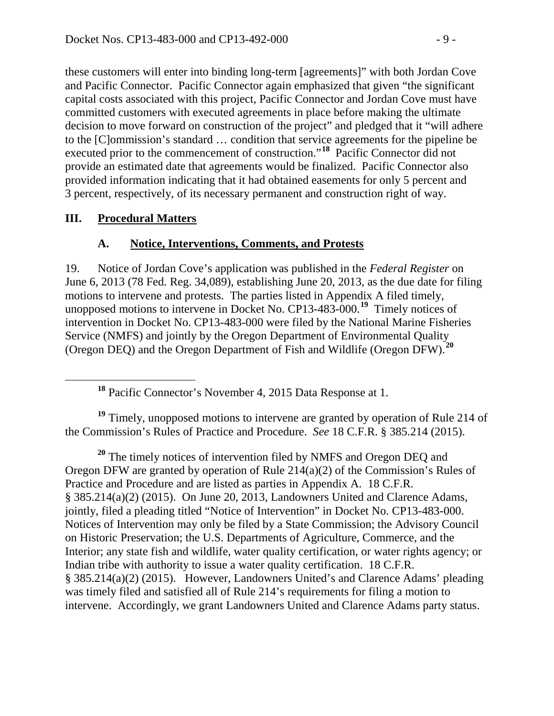these customers will enter into binding long-term [agreements]" with both Jordan Cove and Pacific Connector. Pacific Connector again emphasized that given "the significant capital costs associated with this project, Pacific Connector and Jordan Cove must have committed customers with executed agreements in place before making the ultimate decision to move forward on construction of the project" and pledged that it "will adhere to the [C]ommission's standard … condition that service agreements for the pipeline be executed prior to the commencement of construction."**[18](#page-8-0)** Pacific Connector did not provide an estimated date that agreements would be finalized. Pacific Connector also provided information indicating that it had obtained easements for only 5 percent and 3 percent, respectively, of its necessary permanent and construction right of way.

#### **III. Procedural Matters**

### **A. Notice, Interventions, Comments, and Protests**

19. Notice of Jordan Cove's application was published in the *Federal Register* on June 6, 2013 (78 Fed. Reg. 34,089), establishing June 20, 2013, as the due date for filing motions to intervene and protests. The parties listed in Appendix A filed timely, unopposed motions to intervene in Docket No. CP13-483-000.**[19](#page-8-1)** Timely notices of intervention in Docket No. CP13-483-000 were filed by the National Marine Fisheries Service (NMFS) and jointly by the Oregon Department of Environmental Quality (Oregon DEQ) and the Oregon Department of Fish and Wildlife (Oregon DFW).**[20](#page-8-2)**

**<sup>18</sup>** Pacific Connector's November 4, 2015 Data Response at 1.

<span id="page-8-1"></span><span id="page-8-0"></span><sup>19</sup> Timely, unopposed motions to intervene are granted by operation of Rule 214 of the Commission's Rules of Practice and Procedure. *See* 18 C.F.R. § 385.214 (2015).

<span id="page-8-2"></span>**<sup>20</sup>** The timely notices of intervention filed by NMFS and Oregon DEQ and Oregon DFW are granted by operation of Rule 214(a)(2) of the Commission's Rules of Practice and Procedure and are listed as parties in Appendix A. 18 C.F.R. § 385.214(a)(2) (2015). On June 20, 2013, Landowners United and Clarence Adams, jointly, filed a pleading titled "Notice of Intervention" in Docket No. CP13-483-000. Notices of Intervention may only be filed by a State Commission; the Advisory Council on Historic Preservation; the U.S. Departments of Agriculture, Commerce, and the Interior; any state fish and wildlife, water quality certification, or water rights agency; or Indian tribe with authority to issue a water quality certification. 18 C.F.R. § 385.214(a)(2) (2015). However, Landowners United's and Clarence Adams' pleading was timely filed and satisfied all of Rule 214's requirements for filing a motion to intervene. Accordingly, we grant Landowners United and Clarence Adams party status.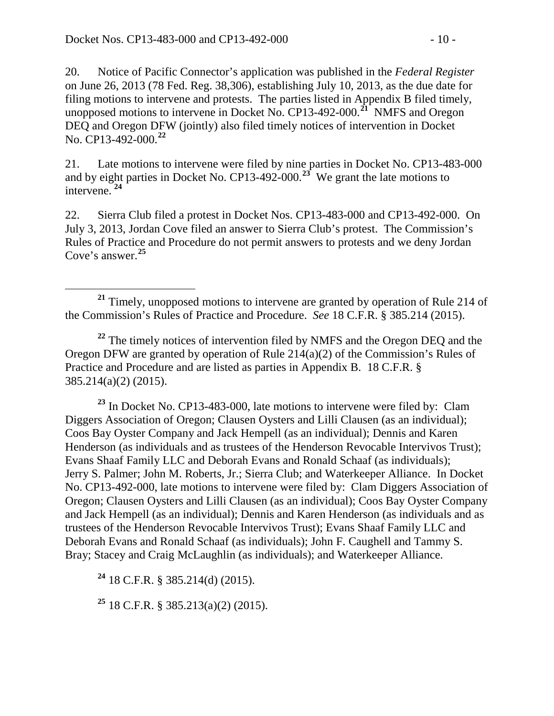20. Notice of Pacific Connector's application was published in the *Federal Register* on June 26, 2013 (78 Fed. Reg. 38,306), establishing July 10, 2013, as the due date for filing motions to intervene and protests. The parties listed in Appendix B filed timely, unopposed motions to intervene in Docket No. CP13-492-000.**[21](#page-9-0)** NMFS and Oregon DEQ and Oregon DFW (jointly) also filed timely notices of intervention in Docket No. CP13-492-000.**[22](#page-9-1)**

21. Late motions to intervene were filed by nine parties in Docket No. CP13-483-000 and by eight parties in Docket No. CP13-492-000.**[23](#page-9-2)** We grant the late motions to intervene. **[24](#page-9-3)**

22. Sierra Club filed a protest in Docket Nos. CP13-483-000 and CP13-492-000. On July 3, 2013, Jordan Cove filed an answer to Sierra Club's protest. The Commission's Rules of Practice and Procedure do not permit answers to protests and we deny Jordan Cove's answer. **[25](#page-9-4)**

<span id="page-9-1"></span><sup>22</sup> The timely notices of intervention filed by NMFS and the Oregon DEQ and the Oregon DFW are granted by operation of Rule 214(a)(2) of the Commission's Rules of Practice and Procedure and are listed as parties in Appendix B. 18 C.F.R. § 385.214(a)(2) (2015).

<span id="page-9-2"></span>**<sup>23</sup>** In Docket No. CP13-483-000, late motions to intervene were filed by: Clam Diggers Association of Oregon; Clausen Oysters and Lilli Clausen (as an individual); Coos Bay Oyster Company and Jack Hempell (as an individual); Dennis and Karen Henderson (as individuals and as trustees of the Henderson Revocable Intervivos Trust); Evans Shaaf Family LLC and Deborah Evans and Ronald Schaaf (as individuals); Jerry S. Palmer; John M. Roberts, Jr.; Sierra Club; and Waterkeeper Alliance. In Docket No. CP13-492-000, late motions to intervene were filed by: Clam Diggers Association of Oregon; Clausen Oysters and Lilli Clausen (as an individual); Coos Bay Oyster Company and Jack Hempell (as an individual); Dennis and Karen Henderson (as individuals and as trustees of the Henderson Revocable Intervivos Trust); Evans Shaaf Family LLC and Deborah Evans and Ronald Schaaf (as individuals); John F. Caughell and Tammy S. Bray; Stacey and Craig McLaughlin (as individuals); and Waterkeeper Alliance.

<span id="page-9-3"></span>**<sup>24</sup>** 18 C.F.R. § 385.214(d) (2015).

<span id="page-9-4"></span>**<sup>25</sup>** 18 C.F.R. § 385.213(a)(2) (2015).

<span id="page-9-0"></span>**<sup>21</sup>** Timely, unopposed motions to intervene are granted by operation of Rule 214 of the Commission's Rules of Practice and Procedure. *See* 18 C.F.R. § 385.214 (2015).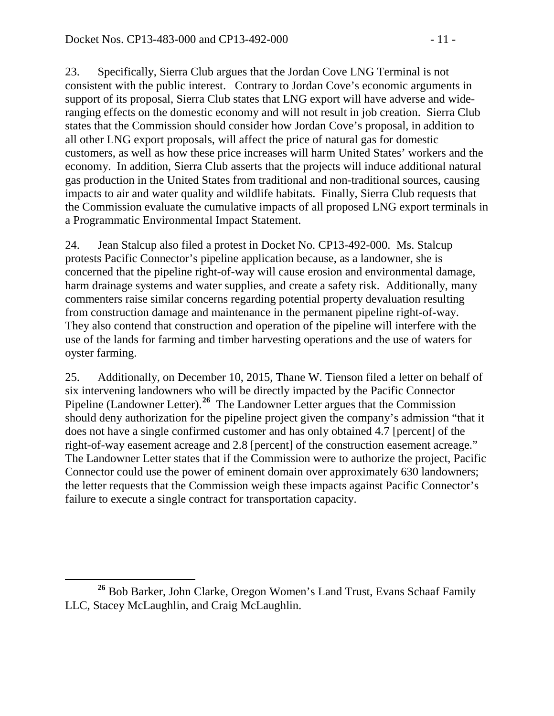23. Specifically, Sierra Club argues that the Jordan Cove LNG Terminal is not consistent with the public interest. Contrary to Jordan Cove's economic arguments in support of its proposal, Sierra Club states that LNG export will have adverse and wideranging effects on the domestic economy and will not result in job creation. Sierra Club states that the Commission should consider how Jordan Cove's proposal, in addition to all other LNG export proposals, will affect the price of natural gas for domestic customers, as well as how these price increases will harm United States' workers and the economy. In addition, Sierra Club asserts that the projects will induce additional natural gas production in the United States from traditional and non-traditional sources, causing impacts to air and water quality and wildlife habitats. Finally, Sierra Club requests that the Commission evaluate the cumulative impacts of all proposed LNG export terminals in a Programmatic Environmental Impact Statement.

24. Jean Stalcup also filed a protest in Docket No. CP13-492-000. Ms. Stalcup protests Pacific Connector's pipeline application because, as a landowner, she is concerned that the pipeline right-of-way will cause erosion and environmental damage, harm drainage systems and water supplies, and create a safety risk. Additionally, many commenters raise similar concerns regarding potential property devaluation resulting from construction damage and maintenance in the permanent pipeline right-of-way. They also contend that construction and operation of the pipeline will interfere with the use of the lands for farming and timber harvesting operations and the use of waters for oyster farming.

25. Additionally, on December 10, 2015, Thane W. Tienson filed a letter on behalf of six intervening landowners who will be directly impacted by the Pacific Connector Pipeline (Landowner Letter).<sup>[26](#page-10-0)</sup> The Landowner Letter argues that the Commission should deny authorization for the pipeline project given the company's admission "that it does not have a single confirmed customer and has only obtained 4.7 [percent] of the right-of-way easement acreage and 2.8 [percent] of the construction easement acreage." The Landowner Letter states that if the Commission were to authorize the project, Pacific Connector could use the power of eminent domain over approximately 630 landowners; the letter requests that the Commission weigh these impacts against Pacific Connector's failure to execute a single contract for transportation capacity.

<span id="page-10-0"></span>**<sup>26</sup>** Bob Barker, John Clarke, Oregon Women's Land Trust, Evans Schaaf Family LLC, Stacey McLaughlin, and Craig McLaughlin.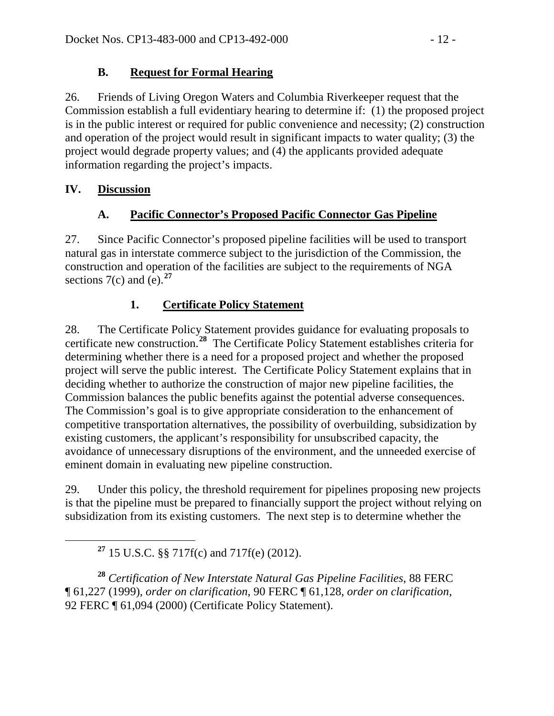## **B. Request for Formal Hearing**

26. Friends of Living Oregon Waters and Columbia Riverkeeper request that the Commission establish a full evidentiary hearing to determine if: (1) the proposed project is in the public interest or required for public convenience and necessity; (2) construction and operation of the project would result in significant impacts to water quality; (3) the project would degrade property values; and (4) the applicants provided adequate information regarding the project's impacts.

## **IV. Discussion**

## **A. Pacific Connector's Proposed Pacific Connector Gas Pipeline**

27. Since Pacific Connector's proposed pipeline facilities will be used to transport natural gas in interstate commerce subject to the jurisdiction of the Commission, the construction and operation of the facilities are subject to the requirements of NGA sections  $7(c)$  and  $(e)$ .<sup>[27](#page-11-0)</sup>

# **1. Certificate Policy Statement**

28. The Certificate Policy Statement provides guidance for evaluating proposals to certificate new construction.**[28](#page-11-1)** The Certificate Policy Statement establishes criteria for determining whether there is a need for a proposed project and whether the proposed project will serve the public interest. The Certificate Policy Statement explains that in deciding whether to authorize the construction of major new pipeline facilities, the Commission balances the public benefits against the potential adverse consequences. The Commission's goal is to give appropriate consideration to the enhancement of competitive transportation alternatives, the possibility of overbuilding, subsidization by existing customers, the applicant's responsibility for unsubscribed capacity, the avoidance of unnecessary disruptions of the environment, and the unneeded exercise of eminent domain in evaluating new pipeline construction.

29. Under this policy, the threshold requirement for pipelines proposing new projects is that the pipeline must be prepared to financially support the project without relying on subsidization from its existing customers. The next step is to determine whether the

**<sup>27</sup>** 15 U.S.C. §§ 717f(c) and 717f(e) (2012).

<span id="page-11-1"></span><span id="page-11-0"></span>**<sup>28</sup>** *Certification of New Interstate Natural Gas Pipeline Facilities*, 88 FERC ¶ 61,227 (1999), *order on clarification*, 90 FERC ¶ 61,128, *order on clarification*, 92 FERC ¶ 61,094 (2000) (Certificate Policy Statement).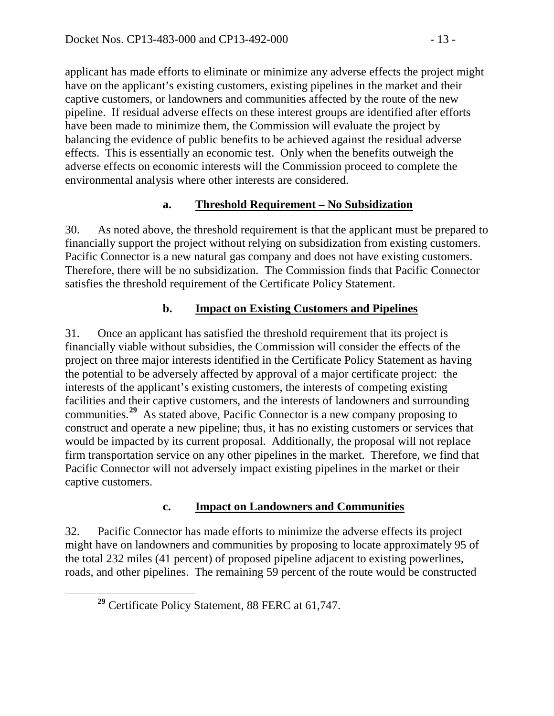applicant has made efforts to eliminate or minimize any adverse effects the project might have on the applicant's existing customers, existing pipelines in the market and their captive customers, or landowners and communities affected by the route of the new pipeline. If residual adverse effects on these interest groups are identified after efforts have been made to minimize them, the Commission will evaluate the project by balancing the evidence of public benefits to be achieved against the residual adverse effects. This is essentially an economic test. Only when the benefits outweigh the adverse effects on economic interests will the Commission proceed to complete the environmental analysis where other interests are considered.

## **a. Threshold Requirement – No Subsidization**

30. As noted above, the threshold requirement is that the applicant must be prepared to financially support the project without relying on subsidization from existing customers. Pacific Connector is a new natural gas company and does not have existing customers. Therefore, there will be no subsidization. The Commission finds that Pacific Connector satisfies the threshold requirement of the Certificate Policy Statement.

## **b. Impact on Existing Customers and Pipelines**

31. Once an applicant has satisfied the threshold requirement that its project is financially viable without subsidies, the Commission will consider the effects of the project on three major interests identified in the Certificate Policy Statement as having the potential to be adversely affected by approval of a major certificate project: the interests of the applicant's existing customers, the interests of competing existing facilities and their captive customers, and the interests of landowners and surrounding communities.**[29](#page-12-0)** As stated above, Pacific Connector is a new company proposing to construct and operate a new pipeline; thus, it has no existing customers or services that would be impacted by its current proposal. Additionally, the proposal will not replace firm transportation service on any other pipelines in the market. Therefore, we find that Pacific Connector will not adversely impact existing pipelines in the market or their captive customers.

## **c. Impact on Landowners and Communities**

32. Pacific Connector has made efforts to minimize the adverse effects its project might have on landowners and communities by proposing to locate approximately 95 of the total 232 miles (41 percent) of proposed pipeline adjacent to existing powerlines, roads, and other pipelines. The remaining 59 percent of the route would be constructed

<span id="page-12-0"></span>**<sup>29</sup>** Certificate Policy Statement, 88 FERC at 61,747.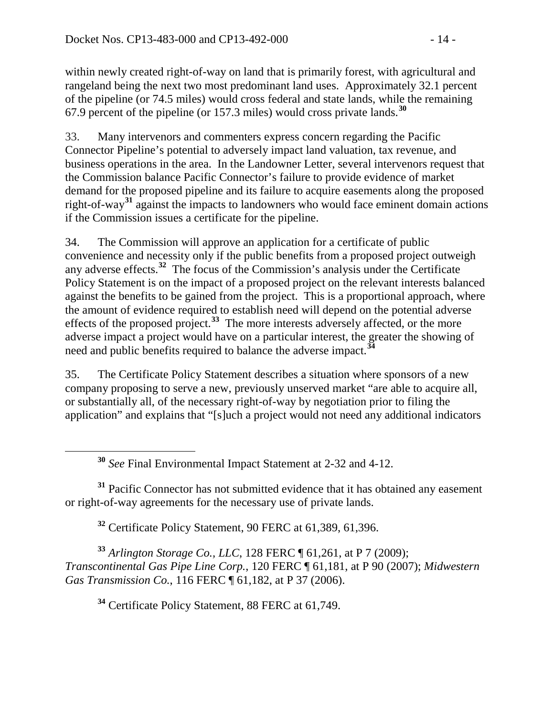within newly created right-of-way on land that is primarily forest, with agricultural and rangeland being the next two most predominant land uses. Approximately 32.1 percent of the pipeline (or 74.5 miles) would cross federal and state lands, while the remaining 67.9 percent of the pipeline (or 157.3 miles) would cross private lands.**[30](#page-13-0)**

33. Many intervenors and commenters express concern regarding the Pacific Connector Pipeline's potential to adversely impact land valuation, tax revenue, and business operations in the area. In the Landowner Letter, several intervenors request that the Commission balance Pacific Connector's failure to provide evidence of market demand for the proposed pipeline and its failure to acquire easements along the proposed right-of-way**[31](#page-13-1)** against the impacts to landowners who would face eminent domain actions if the Commission issues a certificate for the pipeline.

34. The Commission will approve an application for a certificate of public convenience and necessity only if the public benefits from a proposed project outweigh any adverse effects.**[32](#page-13-2)** The focus of the Commission's analysis under the Certificate Policy Statement is on the impact of a proposed project on the relevant interests balanced against the benefits to be gained from the project. This is a proportional approach, where the amount of evidence required to establish need will depend on the potential adverse effects of the proposed project.<sup>[33](#page-13-3)</sup> The more interests adversely affected, or the more adverse impact a project would have on a particular interest, the greater the showing of need and public benefits required to balance the adverse impact.**[34](#page-13-4)**

35. The Certificate Policy Statement describes a situation where sponsors of a new company proposing to serve a new, previously unserved market "are able to acquire all, or substantially all, of the necessary right-of-way by negotiation prior to filing the application" and explains that "[s]uch a project would not need any additional indicators

**<sup>30</sup>** *See* Final Environmental Impact Statement at 2-32 and 4-12.

<span id="page-13-1"></span><span id="page-13-0"></span>**<sup>31</sup>** Pacific Connector has not submitted evidence that it has obtained any easement or right-of-way agreements for the necessary use of private lands.

**<sup>32</sup>** Certificate Policy Statement, 90 FERC at 61,389, 61,396.

<span id="page-13-4"></span><span id="page-13-3"></span><span id="page-13-2"></span>**<sup>33</sup>** *Arlington Storage Co., LLC*, 128 FERC ¶ 61,261, at P 7 (2009); *Transcontinental Gas Pipe Line Corp.*, 120 FERC ¶ 61,181, at P 90 (2007); *Midwestern Gas Transmission Co.*, 116 FERC ¶ 61,182, at P 37 (2006).

**<sup>34</sup>** Certificate Policy Statement, 88 FERC at 61,749.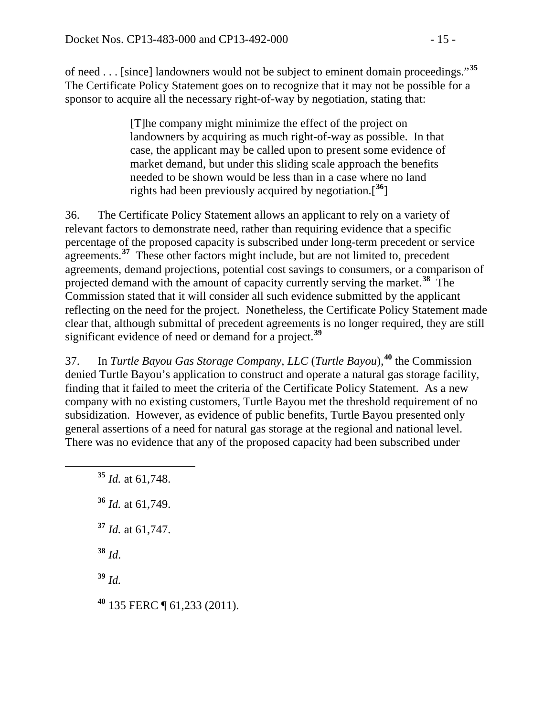of need . . . [since] landowners would not be subject to eminent domain proceedings."**[35](#page-14-0)** The Certificate Policy Statement goes on to recognize that it may not be possible for a sponsor to acquire all the necessary right-of-way by negotiation, stating that:

> [T]he company might minimize the effect of the project on landowners by acquiring as much right-of-way as possible. In that case, the applicant may be called upon to present some evidence of market demand, but under this sliding scale approach the benefits needed to be shown would be less than in a case where no land rights had been previously acquired by negotiation.[**[36](#page-14-1)**]

36. The Certificate Policy Statement allows an applicant to rely on a variety of relevant factors to demonstrate need, rather than requiring evidence that a specific percentage of the proposed capacity is subscribed under long-term precedent or service agreements.<sup>[37](#page-14-2)</sup> These other factors might include, but are not limited to, precedent agreements, demand projections, potential cost savings to consumers, or a comparison of projected demand with the amount of capacity currently serving the market.**[38](#page-14-3)** The Commission stated that it will consider all such evidence submitted by the applicant reflecting on the need for the project. Nonetheless, the Certificate Policy Statement made clear that, although submittal of precedent agreements is no longer required, they are still significant evidence of need or demand for a project.**[39](#page-14-4)**

37. In *Turtle Bayou Gas Storage Company, LLC* (*Turtle Bayou*), **[40](#page-14-5)** the Commission denied Turtle Bayou's application to construct and operate a natural gas storage facility, finding that it failed to meet the criteria of the Certificate Policy Statement. As a new company with no existing customers, Turtle Bayou met the threshold requirement of no subsidization. However, as evidence of public benefits, Turtle Bayou presented only general assertions of a need for natural gas storage at the regional and national level. There was no evidence that any of the proposed capacity had been subscribed under

<span id="page-14-5"></span><span id="page-14-4"></span><span id="page-14-3"></span><span id="page-14-2"></span><span id="page-14-1"></span><span id="page-14-0"></span> **<sup>35</sup>** *Id.* at 61,748. **<sup>36</sup>** *Id.* at 61,749. **<sup>37</sup>** *Id.* at 61,747. **<sup>38</sup>** *Id*. **<sup>39</sup>** *Id.* **<sup>40</sup>** 135 FERC ¶ 61,233 (2011).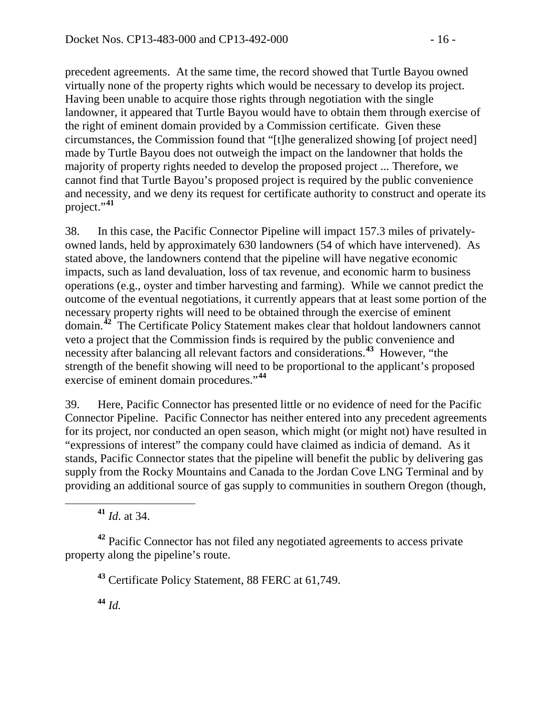precedent agreements. At the same time, the record showed that Turtle Bayou owned virtually none of the property rights which would be necessary to develop its project. Having been unable to acquire those rights through negotiation with the single landowner, it appeared that Turtle Bayou would have to obtain them through exercise of the right of eminent domain provided by a Commission certificate. Given these circumstances, the Commission found that "[t]he generalized showing [of project need] made by Turtle Bayou does not outweigh the impact on the landowner that holds the majority of property rights needed to develop the proposed project ... Therefore, we cannot find that Turtle Bayou's proposed project is required by the public convenience and necessity, and we deny its request for certificate authority to construct and operate its project."**[41](#page-15-0)**

38. In this case, the Pacific Connector Pipeline will impact 157.3 miles of privatelyowned lands, held by approximately 630 landowners (54 of which have intervened). As stated above, the landowners contend that the pipeline will have negative economic impacts, such as land devaluation, loss of tax revenue, and economic harm to business operations (e.g., oyster and timber harvesting and farming). While we cannot predict the outcome of the eventual negotiations, it currently appears that at least some portion of the necessary property rights will need to be obtained through the exercise of eminent domain.**[42](#page-15-1)** The Certificate Policy Statement makes clear that holdout landowners cannot veto a project that the Commission finds is required by the public convenience and necessity after balancing all relevant factors and considerations.**[43](#page-15-2)** However, "the strength of the benefit showing will need to be proportional to the applicant's proposed exercise of eminent domain procedures."**[44](#page-15-3)**

39. Here, Pacific Connector has presented little or no evidence of need for the Pacific Connector Pipeline. Pacific Connector has neither entered into any precedent agreements for its project, nor conducted an open season, which might (or might not) have resulted in "expressions of interest" the company could have claimed as indicia of demand. As it stands, Pacific Connector states that the pipeline will benefit the public by delivering gas supply from the Rocky Mountains and Canada to the Jordan Cove LNG Terminal and by providing an additional source of gas supply to communities in southern Oregon (though,

**<sup>41</sup>** *Id*. at 34.

<span id="page-15-3"></span><span id="page-15-2"></span><span id="page-15-1"></span><span id="page-15-0"></span>**<sup>42</sup>** Pacific Connector has not filed any negotiated agreements to access private property along the pipeline's route.

**<sup>43</sup>** Certificate Policy Statement, 88 FERC at 61,749.

**<sup>44</sup>** *Id.*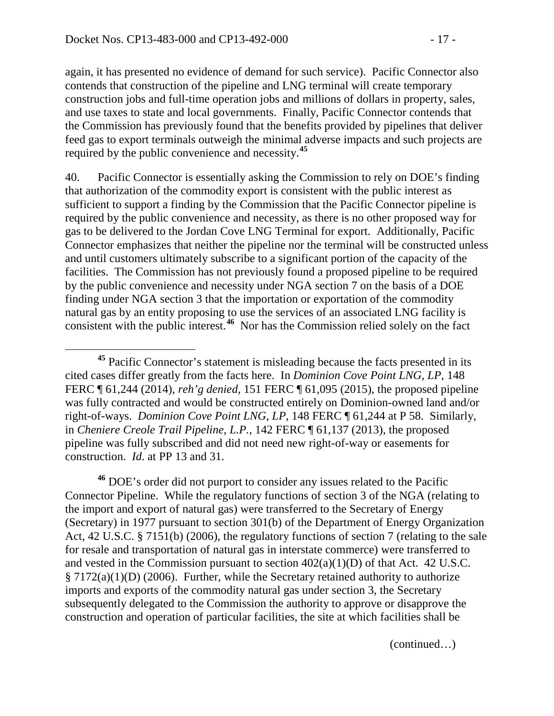again, it has presented no evidence of demand for such service). Pacific Connector also contends that construction of the pipeline and LNG terminal will create temporary construction jobs and full-time operation jobs and millions of dollars in property, sales, and use taxes to state and local governments. Finally, Pacific Connector contends that the Commission has previously found that the benefits provided by pipelines that deliver feed gas to export terminals outweigh the minimal adverse impacts and such projects are required by the public convenience and necessity.**[45](#page-16-0)**

40. Pacific Connector is essentially asking the Commission to rely on DOE's finding that authorization of the commodity export is consistent with the public interest as sufficient to support a finding by the Commission that the Pacific Connector pipeline is required by the public convenience and necessity, as there is no other proposed way for gas to be delivered to the Jordan Cove LNG Terminal for export. Additionally, Pacific Connector emphasizes that neither the pipeline nor the terminal will be constructed unless and until customers ultimately subscribe to a significant portion of the capacity of the facilities. The Commission has not previously found a proposed pipeline to be required by the public convenience and necessity under NGA section 7 on the basis of a DOE finding under NGA section 3 that the importation or exportation of the commodity natural gas by an entity proposing to use the services of an associated LNG facility is consistent with the public interest.**[46](#page-16-1)** Nor has the Commission relied solely on the fact

<span id="page-16-1"></span>**<sup>46</sup>** DOE's order did not purport to consider any issues related to the Pacific Connector Pipeline. While the regulatory functions of section 3 of the NGA (relating to the import and export of natural gas) were transferred to the Secretary of Energy (Secretary) in 1977 pursuant to section 301(b) of the Department of Energy Organization Act, 42 U.S.C. § 7151(b) (2006), the regulatory functions of section 7 (relating to the sale for resale and transportation of natural gas in interstate commerce) were transferred to and vested in the Commission pursuant to section 402(a)(1)(D) of that Act. 42 U.S.C. § 7172(a)(1)(D) (2006). Further, while the Secretary retained authority to authorize imports and exports of the commodity natural gas under section 3, the Secretary subsequently delegated to the Commission the authority to approve or disapprove the construction and operation of particular facilities, the site at which facilities shall be

(continued…)

<span id="page-16-0"></span>**<sup>45</sup>** Pacific Connector's statement is misleading because the facts presented in its cited cases differ greatly from the facts here. In *Dominion Cove Point LNG, LP*, 148 FERC ¶ 61,244 (2014), *reh'g denied*, 151 FERC ¶ 61,095 (2015), the proposed pipeline was fully contracted and would be constructed entirely on Dominion-owned land and/or right-of-ways. *Dominion Cove Point LNG, LP*, 148 FERC ¶ 61,244 at P 58. Similarly, in *Cheniere Creole Trail Pipeline, L.P.*, 142 FERC ¶ 61,137 (2013), the proposed pipeline was fully subscribed and did not need new right-of-way or easements for construction. *Id*. at PP 13 and 31.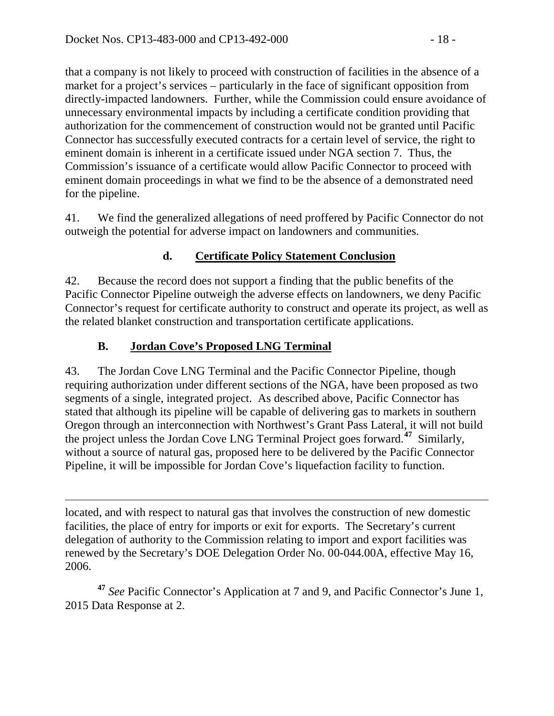that a company is not likely to proceed with construction of facilities in the absence of a market for a project's services – particularly in the face of significant opposition from directly-impacted landowners. Further, while the Commission could ensure avoidance of unnecessary environmental impacts by including a certificate condition providing that authorization for the commencement of construction would not be granted until Pacific Connector has successfully executed contracts for a certain level of service, the right to eminent domain is inherent in a certificate issued under NGA section 7. Thus, the Commission's issuance of a certificate would allow Pacific Connector to proceed with eminent domain proceedings in what we find to be the absence of a demonstrated need for the pipeline.

41. We find the generalized allegations of need proffered by Pacific Connector do not outweigh the potential for adverse impact on landowners and communities.

## **d. Certificate Policy Statement Conclusion**

42. Because the record does not support a finding that the public benefits of the Pacific Connector Pipeline outweigh the adverse effects on landowners, we deny Pacific Connector's request for certificate authority to construct and operate its project, as well as the related blanket construction and transportation certificate applications.

## **B. Jordan Cove's Proposed LNG Terminal**

43. The Jordan Cove LNG Terminal and the Pacific Connector Pipeline, though requiring authorization under different sections of the NGA, have been proposed as two segments of a single, integrated project. As described above, Pacific Connector has stated that although its pipeline will be capable of delivering gas to markets in southern Oregon through an interconnection with Northwest's Grant Pass Lateral, it will not build the project unless the Jordan Cove LNG Terminal Project goes forward.**[47](#page-17-0)** Similarly, without a source of natural gas, proposed here to be delivered by the Pacific Connector Pipeline, it will be impossible for Jordan Cove's liquefaction facility to function.

 $\overline{a}$ located, and with respect to natural gas that involves the construction of new domestic facilities, the place of entry for imports or exit for exports. The Secretary's current delegation of authority to the Commission relating to import and export facilities was renewed by the Secretary's DOE Delegation Order No. 00-044.00A, effective May 16, 2006.

<span id="page-17-0"></span>**<sup>47</sup>** *See* Pacific Connector's Application at 7 and 9, and Pacific Connector's June 1, 2015 Data Response at 2.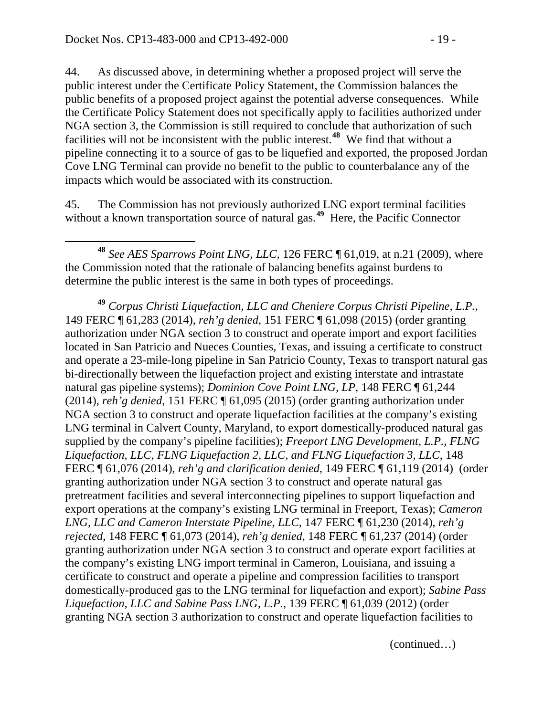44. As discussed above, in determining whether a proposed project will serve the public interest under the Certificate Policy Statement, the Commission balances the public benefits of a proposed project against the potential adverse consequences. While the Certificate Policy Statement does not specifically apply to facilities authorized under NGA section 3, the Commission is still required to conclude that authorization of such facilities will not be inconsistent with the public interest.**[48](#page-18-0)** We find that without a pipeline connecting it to a source of gas to be liquefied and exported, the proposed Jordan Cove LNG Terminal can provide no benefit to the public to counterbalance any of the impacts which would be associated with its construction.

45. The Commission has not previously authorized LNG export terminal facilities without a known transportation source of natural gas.<sup>[49](#page-18-1)</sup> Here, the Pacific Connector

<span id="page-18-1"></span>**<sup>49</sup>** *Corpus Christi Liquefaction, LLC and Cheniere Corpus Christi Pipeline, L.P.*, 149 FERC ¶ 61,283 (2014), *reh'g denied*, 151 FERC ¶ 61,098 (2015) (order granting authorization under NGA section 3 to construct and operate import and export facilities located in San Patricio and Nueces Counties, Texas, and issuing a certificate to construct and operate a 23-mile-long pipeline in San Patricio County, Texas to transport natural gas bi-directionally between the liquefaction project and existing interstate and intrastate natural gas pipeline systems); *Dominion Cove Point LNG, LP*, 148 FERC ¶ 61,244 (2014), *reh'g denied*, 151 FERC ¶ 61,095 (2015) (order granting authorization under NGA section 3 to construct and operate liquefaction facilities at the company's existing LNG terminal in Calvert County, Maryland, to export domestically-produced natural gas supplied by the company's pipeline facilities); *Freeport LNG Development, L.P., FLNG Liquefaction, LLC, FLNG Liquefaction 2, LLC, and FLNG Liquefaction 3, LLC*, 148 FERC ¶ 61,076 (2014), *reh'g and clarification denied*, 149 FERC ¶ 61,119 (2014) (order granting authorization under NGA section 3 to construct and operate natural gas pretreatment facilities and several interconnecting pipelines to support liquefaction and export operations at the company's existing LNG terminal in Freeport, Texas); *Cameron LNG, LLC and Cameron Interstate Pipeline, LLC*, 147 FERC ¶ 61,230 (2014), *reh'g rejected*, 148 FERC ¶ 61,073 (2014), *reh'g denied*, 148 FERC ¶ 61,237 (2014) (order granting authorization under NGA section 3 to construct and operate export facilities at the company's existing LNG import terminal in Cameron, Louisiana, and issuing a certificate to construct and operate a pipeline and compression facilities to transport domestically-produced gas to the LNG terminal for liquefaction and export); *Sabine Pass Liquefaction, LLC and Sabine Pass LNG, L.P.*, 139 FERC ¶ 61,039 (2012) (order granting NGA section 3 authorization to construct and operate liquefaction facilities to

(continued…)

<span id="page-18-0"></span>**<sup>48</sup>** *See AES Sparrows Point LNG, LLC,* 126 FERC ¶ 61,019, at n.21 (2009), where the Commission noted that the rationale of balancing benefits against burdens to determine the public interest is the same in both types of proceedings.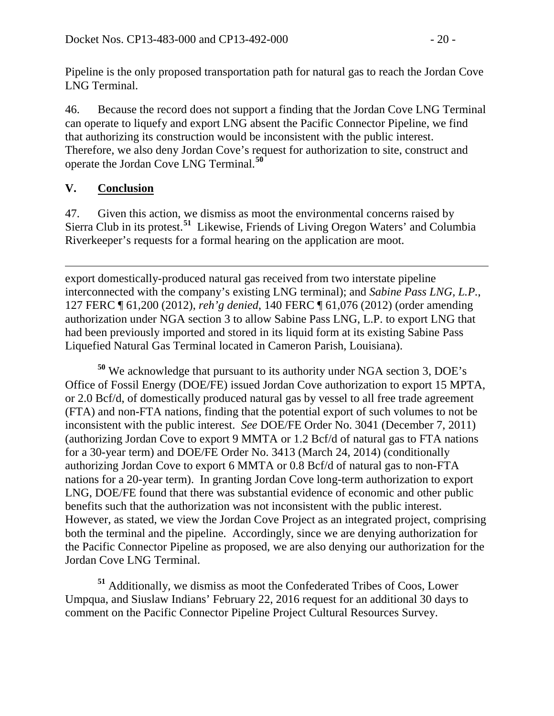Pipeline is the only proposed transportation path for natural gas to reach the Jordan Cove LNG Terminal.

46. Because the record does not support a finding that the Jordan Cove LNG Terminal can operate to liquefy and export LNG absent the Pacific Connector Pipeline, we find that authorizing its construction would be inconsistent with the public interest. Therefore, we also deny Jordan Cove's request for authorization to site, construct and operate the Jordan Cove LNG Terminal.**[50](#page-19-0)**

## **V. Conclusion**

47. Given this action, we dismiss as moot the environmental concerns raised by Sierra Club in its protest.**[51](#page-19-1)** Likewise, Friends of Living Oregon Waters' and Columbia Riverkeeper's requests for a formal hearing on the application are moot.

 $\overline{a}$ export domestically-produced natural gas received from two interstate pipeline interconnected with the company's existing LNG terminal); and *Sabine Pass LNG, L.P.*, 127 FERC ¶ 61,200 (2012), *reh'g denied*, 140 FERC ¶ 61,076 (2012) (order amending authorization under NGA section 3 to allow Sabine Pass LNG, L.P. to export LNG that had been previously imported and stored in its liquid form at its existing Sabine Pass Liquefied Natural Gas Terminal located in Cameron Parish, Louisiana).

<span id="page-19-0"></span>**<sup>50</sup>** We acknowledge that pursuant to its authority under NGA section 3, DOE's Office of Fossil Energy (DOE/FE) issued Jordan Cove authorization to export 15 MPTA, or 2.0 Bcf/d, of domestically produced natural gas by vessel to all free trade agreement (FTA) and non-FTA nations, finding that the potential export of such volumes to not be inconsistent with the public interest. *See* DOE/FE Order No. 3041 (December 7, 2011) (authorizing Jordan Cove to export 9 MMTA or 1.2 Bcf/d of natural gas to FTA nations for a 30-year term) and DOE/FE Order No. 3413 (March 24, 2014) (conditionally authorizing Jordan Cove to export 6 MMTA or 0.8 Bcf/d of natural gas to non-FTA nations for a 20-year term). In granting Jordan Cove long-term authorization to export LNG, DOE/FE found that there was substantial evidence of economic and other public benefits such that the authorization was not inconsistent with the public interest. However, as stated, we view the Jordan Cove Project as an integrated project, comprising both the terminal and the pipeline. Accordingly, since we are denying authorization for the Pacific Connector Pipeline as proposed, we are also denying our authorization for the Jordan Cove LNG Terminal.

<span id="page-19-1"></span>**<sup>51</sup>** Additionally, we dismiss as moot the Confederated Tribes of Coos, Lower Umpqua, and Siuslaw Indians' February 22, 2016 request for an additional 30 days to comment on the Pacific Connector Pipeline Project Cultural Resources Survey.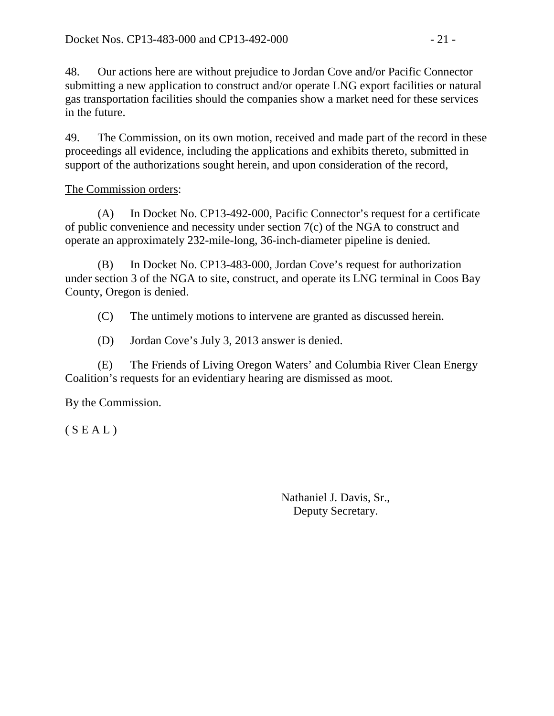48. Our actions here are without prejudice to Jordan Cove and/or Pacific Connector submitting a new application to construct and/or operate LNG export facilities or natural gas transportation facilities should the companies show a market need for these services in the future.

49. The Commission, on its own motion, received and made part of the record in these proceedings all evidence, including the applications and exhibits thereto, submitted in support of the authorizations sought herein, and upon consideration of the record,

### The Commission orders:

(A) In Docket No. CP13-492-000, Pacific Connector's request for a certificate of public convenience and necessity under section 7(c) of the NGA to construct and operate an approximately 232-mile-long, 36-inch-diameter pipeline is denied.

(B) In Docket No. CP13-483-000, Jordan Cove's request for authorization under section 3 of the NGA to site, construct, and operate its LNG terminal in Coos Bay County, Oregon is denied.

(C) The untimely motions to intervene are granted as discussed herein.

(D) Jordan Cove's July 3, 2013 answer is denied.

(E) The Friends of Living Oregon Waters' and Columbia River Clean Energy Coalition's requests for an evidentiary hearing are dismissed as moot.

By the Commission.

 $(S E A L)$ 

Nathaniel J. Davis, Sr., Deputy Secretary.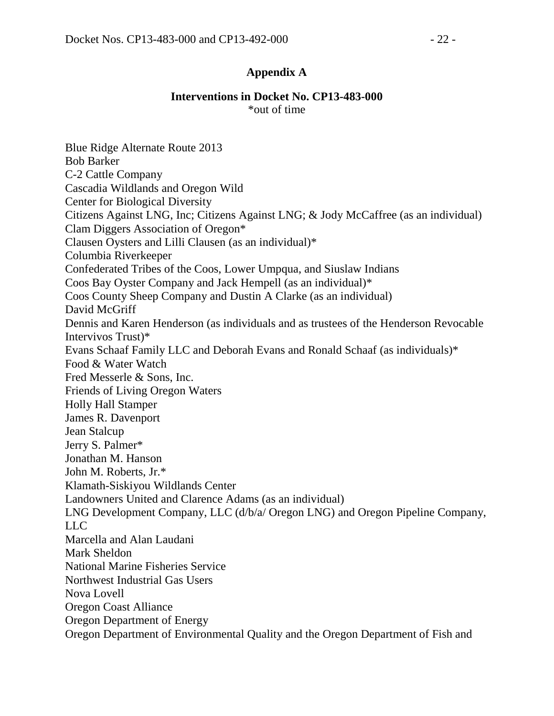### **Appendix A**

#### **Interventions in Docket No. CP13-483-000**  \*out of time

Blue Ridge Alternate Route 2013 Bob Barker C-2 Cattle Company Cascadia Wildlands and Oregon Wild Center for Biological Diversity Citizens Against LNG, Inc; Citizens Against LNG; & Jody McCaffree (as an individual) Clam Diggers Association of Oregon\* Clausen Oysters and Lilli Clausen (as an individual)\* Columbia Riverkeeper Confederated Tribes of the Coos, Lower Umpqua, and Siuslaw Indians Coos Bay Oyster Company and Jack Hempell (as an individual)\* Coos County Sheep Company and Dustin A Clarke (as an individual) David McGriff Dennis and Karen Henderson (as individuals and as trustees of the Henderson Revocable Intervivos Trust)\* Evans Schaaf Family LLC and Deborah Evans and Ronald Schaaf (as individuals)\* Food & Water Watch Fred Messerle & Sons, Inc. Friends of Living Oregon Waters Holly Hall Stamper James R. Davenport Jean Stalcup Jerry S. Palmer\* Jonathan M. Hanson John M. Roberts, Jr.\* Klamath-Siskiyou Wildlands Center Landowners United and Clarence Adams (as an individual) LNG Development Company, LLC (d/b/a/ Oregon LNG) and Oregon Pipeline Company, LLC. Marcella and Alan Laudani Mark Sheldon National Marine Fisheries Service Northwest Industrial Gas Users Nova Lovell Oregon Coast Alliance Oregon Department of Energy Oregon Department of Environmental Quality and the Oregon Department of Fish and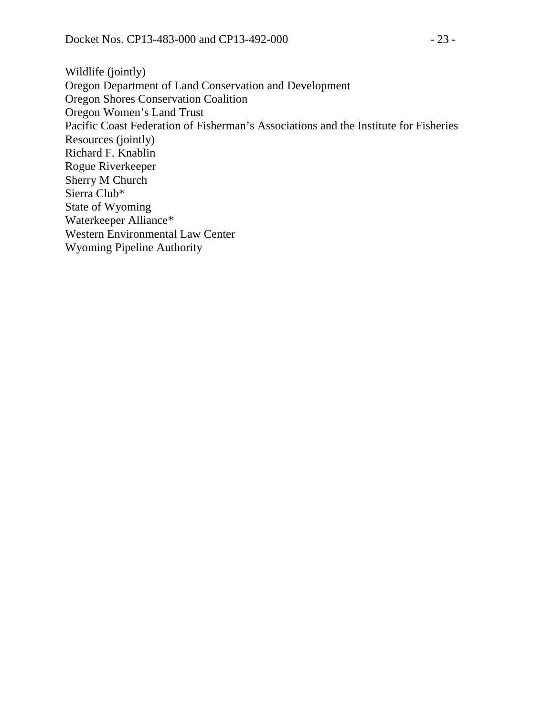Wildlife (jointly) Oregon Department of Land Conservation and Development Oregon Shores Conservation Coalition Oregon Women's Land Trust Pacific Coast Federation of Fisherman's Associations and the Institute for Fisheries Resources (jointly) Richard F. Knablin Rogue Riverkeeper Sherry M Church Sierra Club\* State of Wyoming Waterkeeper Alliance\* Western Environmental Law Center Wyoming Pipeline Authority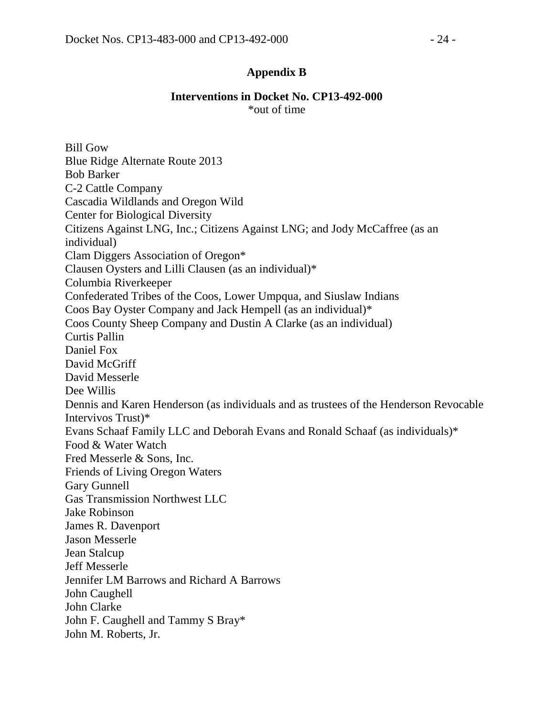### **Appendix B**

#### **Interventions in Docket No. CP13-492-000**  \*out of time

Bill Gow Blue Ridge Alternate Route 2013 Bob Barker C-2 Cattle Company Cascadia Wildlands and Oregon Wild Center for Biological Diversity Citizens Against LNG, Inc.; Citizens Against LNG; and Jody McCaffree (as an individual) Clam Diggers Association of Oregon\* Clausen Oysters and Lilli Clausen (as an individual)\* Columbia Riverkeeper Confederated Tribes of the Coos, Lower Umpqua, and Siuslaw Indians Coos Bay Oyster Company and Jack Hempell (as an individual)\* Coos County Sheep Company and Dustin A Clarke (as an individual) Curtis Pallin Daniel Fox David McGriff David Messerle Dee Willis Dennis and Karen Henderson (as individuals and as trustees of the Henderson Revocable Intervivos Trust)\* Evans Schaaf Family LLC and Deborah Evans and Ronald Schaaf (as individuals)\* Food & Water Watch Fred Messerle & Sons, Inc. Friends of Living Oregon Waters Gary Gunnell Gas Transmission Northwest LLC Jake Robinson James R. Davenport Jason Messerle Jean Stalcup Jeff Messerle Jennifer LM Barrows and Richard A Barrows John Caughell John Clarke John F. Caughell and Tammy S Bray\* John M. Roberts, Jr.